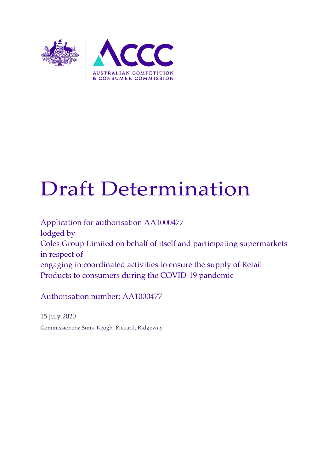

# Draft Determination

Application for authorisation AA1000477 lodged by Coles Group Limited on behalf of itself and participating supermarkets in respect of engaging in coordinated activities to ensure the supply of Retail Products to consumers during the COVID-19 pandemic

Authorisation number: AA1000477

15 July 2020 Commissioners: Sims, Keogh, Rickard, Ridgeway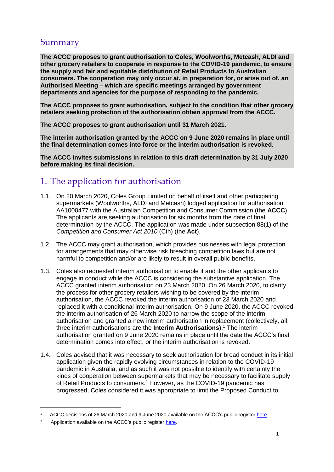# Summary

**The ACCC proposes to grant authorisation to Coles, Woolworths, Metcash, ALDI and other grocery retailers to cooperate in response to the COVID-19 pandemic, to ensure the supply and fair and equitable distribution of Retail Products to Australian consumers. The cooperation may only occur at, in preparation for, or arise out of, an Authorised Meeting – which are specific meetings arranged by government departments and agencies for the purpose of responding to the pandemic.**

**The ACCC proposes to grant authorisation, subject to the condition that other grocery retailers seeking protection of the authorisation obtain approval from the ACCC.**

**The ACCC proposes to grant authorisation until 31 March 2021.**

**The interim authorisation granted by the ACCC on 9 June 2020 remains in place until the final determination comes into force or the interim authorisation is revoked.**

**The ACCC invites submissions in relation to this draft determination by 31 July 2020 before making its final decision.** 

# 1. The application for authorisation

- 1.1. On 20 March 2020, Coles Group Limited on behalf of itself and other participating supermarkets (Woolworths, ALDI and Metcash) lodged application for authorisation AA1000477 with the Australian Competition and Consumer Commission (the **ACCC**). The applicants are seeking authorisation for six months from the date of final determination by the ACCC. The application was made under subsection 88(1) of the *Competition and Consumer Act 2010* (Cth) (the **Act**).
- 1.2. The ACCC may grant authorisation, which provides businesses with legal protection for arrangements that may otherwise risk breaching competition laws but are not harmful to competition and/or are likely to result in overall public benefits.
- 1.3. Coles also requested interim authorisation to enable it and the other applicants to engage in conduct while the ACCC is considering the substantive application. The ACCC granted interim authorisation on 23 March 2020. On 26 March 2020, to clarify the process for other grocery retailers wishing to be covered by the interim authorisation, the ACCC revoked the interim authorisation of 23 March 2020 and replaced it with a conditional interim authorisation. On 9 June 2020, the ACCC revoked the interim authorisation of 26 March 2020 to narrow the scope of the interim authorisation and granted a new interim authorisation in replacement (collectively, all three interim authorisations are the **Interim Authorisations**). <sup>1</sup> The interim authorisation granted on 9 June 2020 remains in place until the date the ACCC's final determination comes into effect, or the interim authorisation is revoked.
- 1.4. Coles advised that it was necessary to seek authorisation for broad conduct in its initial application given the rapidly evolving circumstances in relation to the COVID-19 pandemic in Australia, and as such it was not possible to identify with certainty the kinds of cooperation between supermarkets that may be necessary to facilitate supply of Retail Products to consumers.<sup>2</sup> However, as the COVID-19 pandemic has progressed, Coles considered it was appropriate to limit the Proposed Conduct to

<sup>1</sup> ACCC decisions of 26 March 2020 and 9 June 2020 available on the ACCC's public register [here.](https://www.accc.gov.au/public-registers/authorisations-and-notifications-registers/authorisations-register/coles-group-on-behalf-of-itself-and-participating-supermarkets)

<sup>2</sup> Application available on the ACCC's public register [here](https://www.accc.gov.au/public-registers/authorisations-and-notifications-registers/authorisations-register/coles-group-on-behalf-of-itself-and-participating-supermarkets).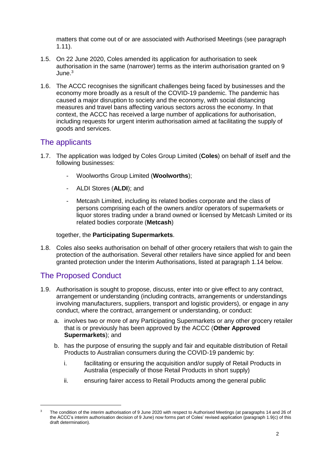matters that come out of or are associated with Authorised Meetings (see paragraph 1.11).

- 1.5. On 22 June 2020, Coles amended its application for authorisation to seek authorisation in the same (narrower) terms as the interim authorisation granted on 9  $June<sup>3</sup>$
- 1.6. The ACCC recognises the significant challenges being faced by businesses and the economy more broadly as a result of the COVID-19 pandemic. The pandemic has caused a major disruption to society and the economy, with social distancing measures and travel bans affecting various sectors across the economy. In that context, the ACCC has received a large number of applications for authorisation, including requests for urgent interim authorisation aimed at facilitating the supply of goods and services.

#### The applicants

- 1.7. The application was lodged by Coles Group Limited (**Coles**) on behalf of itself and the following businesses:
	- Woolworths Group Limited (**Woolworths**);
	- ALDI Stores (**ALDI**); and
	- Metcash Limited, including its related bodies corporate and the class of persons comprising each of the owners and/or operators of supermarkets or liquor stores trading under a brand owned or licensed by Metcash Limited or its related bodies corporate (**Metcash**)

#### together, the **Participating Supermarkets**.

1.8. Coles also seeks authorisation on behalf of other grocery retailers that wish to gain the protection of the authorisation. Several other retailers have since applied for and been granted protection under the Interim Authorisations, listed at paragraph [1.14](#page-3-0) below.

## The Proposed Conduct

- 1.9. Authorisation is sought to propose, discuss, enter into or give effect to any contract, arrangement or understanding (including contracts, arrangements or understandings involving manufacturers, suppliers, transport and logistic providers), or engage in any conduct, where the contract, arrangement or understanding, or conduct:
	- a. involves two or more of any Participating Supermarkets or any other grocery retailer that is or previously has been approved by the ACCC (**Other Approved Supermarkets**); and
	- b. has the purpose of ensuring the supply and fair and equitable distribution of Retail Products to Australian consumers during the COVID-19 pandemic by:
		- i. facilitating or ensuring the acquisition and/or supply of Retail Products in Australia (especially of those Retail Products in short supply)
		- ii. ensuring fairer access to Retail Products among the general public

<sup>&</sup>lt;sup>3</sup> The condition of the interim authorisation of 9 June 2020 with respect to Authorised Meetings (at paragraphs 14 and 26 of the ACCC's interim authorisation decision of 9 June) now forms part of Coles' revised application (paragraph 1.9(c) of this draft determination).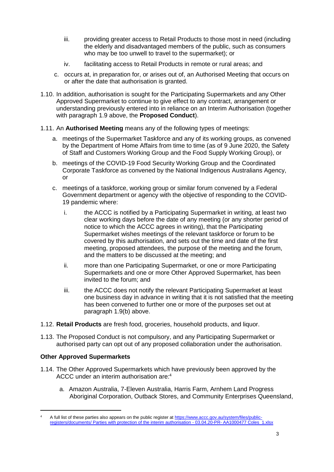- iii. providing greater access to Retail Products to those most in need (including the elderly and disadvantaged members of the public, such as consumers who may be too unwell to travel to the supermarket); or
- iv. facilitating access to Retail Products in remote or rural areas; and
- c. occurs at, in preparation for, or arises out of, an Authorised Meeting that occurs on or after the date that authorisation is granted.
- 1.10. In addition, authorisation is sought for the Participating Supermarkets and any Other Approved Supermarket to continue to give effect to any contract, arrangement or understanding previously entered into in reliance on an Interim Authorisation (together with paragraph 1.9 above, the **Proposed Conduct**).
- 1.11. An **Authorised Meeting** means any of the following types of meetings:
	- a. meetings of the Supermarket Taskforce and any of its working groups, as convened by the Department of Home Affairs from time to time (as of 9 June 2020, the Safety of Staff and Customers Working Group and the Food Supply Working Group), or
	- b. meetings of the COVID-19 Food Security Working Group and the Coordinated Corporate Taskforce as convened by the National Indigenous Australians Agency, or
	- c. meetings of a taskforce, working group or similar forum convened by a Federal Government department or agency with the objective of responding to the COVID-19 pandemic where:
		- i. the ACCC is notified by a Participating Supermarket in writing, at least two clear working days before the date of any meeting (or any shorter period of notice to which the ACCC agrees in writing), that the Participating Supermarket wishes meetings of the relevant taskforce or forum to be covered by this authorisation, and sets out the time and date of the first meeting, proposed attendees, the purpose of the meeting and the forum, and the matters to be discussed at the meeting; and
		- ii. more than one Participating Supermarket, or one or more Participating Supermarkets and one or more Other Approved Supermarket, has been invited to the forum; and
		- iii. the ACCC does not notify the relevant Participating Supermarket at least one business day in advance in writing that it is not satisfied that the meeting has been convened to further one or more of the purposes set out at paragraph 1.9(b) above.
- 1.12. **Retail Products** are fresh food, groceries, household products, and liquor.
- 1.13. The Proposed Conduct is not compulsory, and any Participating Supermarket or authorised party can opt out of any proposed collaboration under the authorisation.

#### **Other Approved Supermarkets**

- <span id="page-3-0"></span>1.14. The Other Approved Supermarkets which have previously been approved by the ACCC under an interim authorisation are: 4
	- a. Amazon Australia, 7-Eleven Australia, Harris Farm, Arnhem Land Progress Aboriginal Corporation, Outback Stores, and Community Enterprises Queensland,

A full list of these parties also appears on the public register a[t https://www.accc.gov.au/system/files/public](https://www.accc.gov.au/system/files/public-registers/documents/%20Parties%20with%20protection%20of%20the%20interim%20authorisation%20-%2003.04.20-PR-%20AA1000477%20Coles_1.xlsx)[registers/documents/ Parties with protection of the interim authorisation -](https://www.accc.gov.au/system/files/public-registers/documents/%20Parties%20with%20protection%20of%20the%20interim%20authorisation%20-%2003.04.20-PR-%20AA1000477%20Coles_1.xlsx) 03.04.20-PR- AA1000477 Coles\_1.xlsx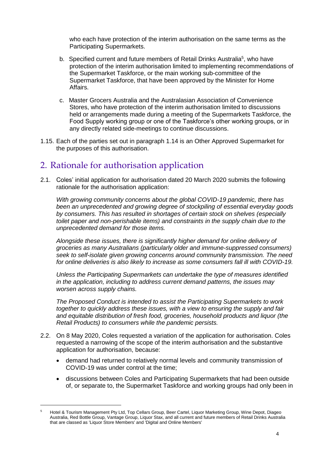who each have protection of the interim authorisation on the same terms as the Participating Supermarkets.

- b. Specified current and future members of Retail Drinks Australia<sup>5</sup>, who have protection of the interim authorisation limited to implementing recommendations of the Supermarket Taskforce, or the main working sub-committee of the Supermarket Taskforce, that have been approved by the Minister for Home Affairs.
- c. Master Grocers Australia and the Australasian Association of Convenience Stores, who have protection of the interim authorisation limited to discussions held or arrangements made during a meeting of the Supermarkets Taskforce, the Food Supply working group or one of the Taskforce's other working groups, or in any directly related side-meetings to continue discussions.
- 1.15. Each of the parties set out in paragraph 1.14 is an Other Approved Supermarket for the purposes of this authorisation.

## 2. Rationale for authorisation application

2.1. Coles' initial application for authorisation dated 20 March 2020 submits the following rationale for the authorisation application:

*With growing community concerns about the global COVID-19 pandemic, there has been an unprecedented and growing degree of stockpiling of essential everyday goods by consumers. This has resulted in shortages of certain stock on shelves (especially toilet paper and non-perishable items) and constraints in the supply chain due to the unprecedented demand for those items.* 

*Alongside these issues, there is significantly higher demand for online delivery of groceries as many Australians (particularly older and immune-suppressed consumers) seek to self-isolate given growing concerns around community transmission. The need for online deliveries is also likely to increase as some consumers fall ill with COVID-19.* 

*Unless the Participating Supermarkets can undertake the type of measures identified in the application, including to address current demand patterns, the issues may worsen across supply chains.* 

*The Proposed Conduct is intended to assist the Participating Supermarkets to work together to quickly address these issues, with a view to ensuring the supply and fair and equitable distribution of fresh food, groceries, household products and liquor (the Retail Products) to consumers while the pandemic persists.*

- 2.2. On 8 May 2020, Coles requested a variation of the application for authorisation. Coles requested a narrowing of the scope of the interim authorisation and the substantive application for authorisation, because:
	- demand had returned to relatively normal levels and community transmission of COVID-19 was under control at the time;
	- discussions between Coles and Participating Supermarkets that had been outside of, or separate to, the Supermarket Taskforce and working groups had only been in

<sup>5</sup> Hotel & Tourism Management Pty Ltd, Top Cellars Group, Beer Cartel, Liquor Marketing Group, Wine Depot, Diageo Australia, Red Bottle Group, Vantage Group, Liquor Stax, and all current and future members of Retail Drinks Australia that are classed as 'Liquor Store Members' and 'Digital and Online Members'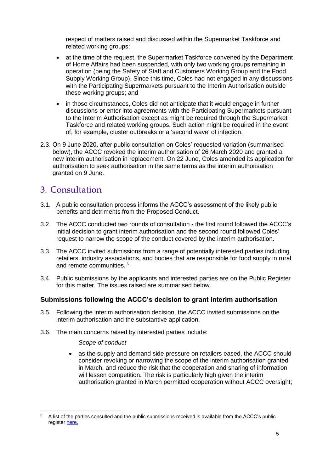respect of matters raised and discussed within the Supermarket Taskforce and related working groups;

- at the time of the request, the Supermarket Taskforce convened by the Department of Home Affairs had been suspended, with only two working groups remaining in operation (being the Safety of Staff and Customers Working Group and the Food Supply Working Group). Since this time, Coles had not engaged in any discussions with the Participating Supermarkets pursuant to the Interim Authorisation outside these working groups; and
- in those circumstances, Coles did not anticipate that it would engage in further discussions or enter into agreements with the Participating Supermarkets pursuant to the Interim Authorisation except as might be required through the Supermarket Taskforce and related working groups. Such action might be required in the event of, for example, cluster outbreaks or a 'second wave' of infection.
- 2.3. On 9 June 2020, after public consultation on Coles' requested variation (summarised below), the ACCC revoked the interim authorisation of 26 March 2020 and granted a new interim authorisation in replacement. On 22 June, Coles amended its application for authorisation to seek authorisation in the same terms as the interim authorisation granted on 9 June.

# 3. Consultation

-

- 3.1. A public consultation process informs the ACCC's assessment of the likely public benefits and detriments from the Proposed Conduct.
- 3.2. The ACCC conducted two rounds of consultation the first round followed the ACCC's initial decision to grant interim authorisation and the second round followed Coles' request to narrow the scope of the conduct covered by the interim authorisation.
- 3.3. The ACCC invited submissions from a range of potentially interested parties including retailers, industry associations, and bodies that are responsible for food supply in rural and remote communities. <sup>6</sup>
- 3.4. Public submissions by the applicants and interested parties are on the Public Register for this matter. The issues raised are summarised below.

#### **Submissions following the ACCC's decision to grant interim authorisation**

- 3.5. Following the interim authorisation decision, the ACCC invited submissions on the interim authorisation and the substantive application.
- 3.6. The main concerns raised by interested parties include:

#### *Scope of conduct*

 as the supply and demand side pressure on retailers eased, the ACCC should consider revoking or narrowing the scope of the interim authorisation granted in March, and reduce the risk that the cooperation and sharing of information will lessen competition. The risk is particularly high given the interim authorisation granted in March permitted cooperation without ACCC oversight;

<sup>6</sup> A list of the parties consulted and the public submissions received is available from the ACCC's public registe[r here.](https://www.accc.gov.au/public-registers/authorisations-and-notifications-registers/authorisations-register/coles-group-on-behalf-of-itself-and-participating-supermarkets)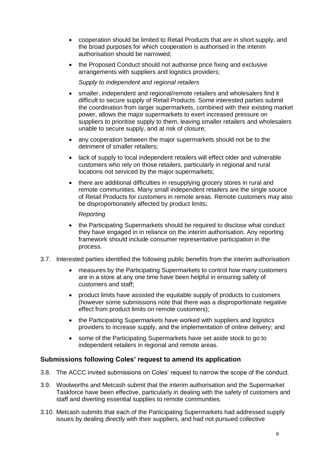- cooperation should be limited to Retail Products that are in short supply, and the broad purposes for which cooperation is authorised in the interim authorisation should be narrowed;
- the Proposed Conduct should not authorise price fixing and exclusive arrangements with suppliers and logistics providers;

*Supply to independent and regional retailers*

- smaller, independent and regional/remote retailers and wholesalers find it difficult to secure supply of Retail Products. Some interested parties submit the coordination from larger supermarkets, combined with their existing market power, allows the major supermarkets to exert increased pressure on suppliers to prioritise supply to them, leaving smaller retailers and wholesalers unable to secure supply, and at risk of closure;
- any cooperation between the major supermarkets should not be to the detriment of smaller retailers;
- lack of supply to local independent retailers will effect older and vulnerable customers who rely on those retailers, particularly in regional and rural locations not serviced by the major supermarkets;
- there are additional difficulties in resupplying grocery stores in rural and remote communities. Many small independent retailers are the single source of Retail Products for customers in remote areas. Remote customers may also be disproportionately affected by product limits;

#### *Reporting*

- the Participating Supermarkets should be required to disclose what conduct they have engaged in in reliance on the interim authorisation. Any reporting framework should include consumer representative participation in the process.
- 3.7. Interested parties identified the following public benefits from the interim authorisation:
	- measures by the Participating Supermarkets to control how many customers are in a store at any one time have been helpful in ensuring safety of customers and staff;
	- product limits have assisted the equitable supply of products to customers (however some submissions note that there was a disproportionate negative effect from product limits on remote customers);
	- the Participating Supermarkets have worked with suppliers and logistics providers to increase supply, and the implementation of online delivery; and
	- some of the Participating Supermarkets have set aside stock to go to independent retailers in regional and remote areas.

#### **Submissions following Coles' request to amend its application**

- 3.8. The ACCC invited submissions on Coles' request to narrow the scope of the conduct.
- 3.9. Woolworths and Metcash submit that the interim authorisation and the Supermarket Taskforce have been effective, particularly in dealing with the safety of customers and staff and diverting essential supplies to remote communities.
- 3.10. Metcash submits that each of the Participating Supermarkets had addressed supply issues by dealing directly with their suppliers, and had not pursued collective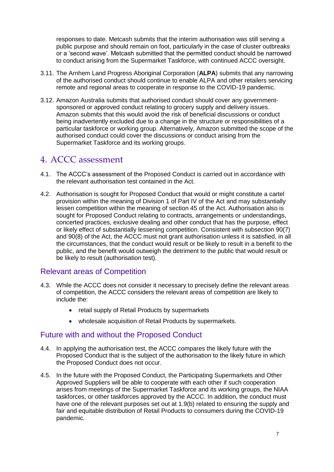responses to date. Metcash submits that the interim authorisation was still serving a public purpose and should remain on foot, particularly in the case of cluster outbreaks or a 'second wave'. Metcash submitted that the permitted conduct should be narrowed to conduct arising from the Supermarket Taskforce, with continued ACCC oversight.

- 3.11. The Arnhem Land Progress Aboriginal Corporation (**ALPA**) submits that any narrowing of the authorised conduct should continue to enable ALPA and other retailers servicing remote and regional areas to cooperate in response to the COVID-19 pandemic.
- 3.12. Amazon Australia submits that authorised conduct should cover any governmentsponsored or approved conduct relating to grocery supply and delivery issues. Amazon submits that this would avoid the risk of beneficial discussions or conduct being inadvertently excluded due to a change in the structure or responsibilities of a particular taskforce or working group. Alternatively, Amazon submitted the scope of the authorised conduct could cover the discussions or conduct arising from the Supermarket Taskforce and its working groups.

# 4. ACCC assessment

- 4.1. The ACCC's assessment of the Proposed Conduct is carried out in accordance with the relevant authorisation test contained in the Act.
- 4.2. Authorisation is sought for Proposed Conduct that would or might constitute a cartel provision within the meaning of Division 1 of Part IV of the Act and may substantially lessen competition within the meaning of section 45 of the Act. Authorisation also is sought for Proposed Conduct relating to contracts, arrangements or understandings, concerted practices, exclusive dealing and other conduct that has the purpose, effect or likely effect of substantially lessening competition. Consistent with subsection 90(7) and 90(8) of the Act, the ACCC must not grant authorisation unless it is satisfied, in all the circumstances, that the conduct would result or be likely to result in a benefit to the public, and the benefit would outweigh the detriment to the public that would result or be likely to result (authorisation test).

## Relevant areas of Competition

- 4.3. While the ACCC does not consider it necessary to precisely define the relevant areas of competition, the ACCC considers the relevant areas of competition are likely to include the:
	- retail supply of Retail Products by supermarkets
	- wholesale acquisition of Retail Products by supermarkets.

#### Future with and without the Proposed Conduct

- 4.4. In applying the authorisation test, the ACCC compares the likely future with the Proposed Conduct that is the subject of the authorisation to the likely future in which the Proposed Conduct does not occur.
- 4.5. In the future with the Proposed Conduct, the Participating Supermarkets and Other Approved Suppliers will be able to cooperate with each other if such cooperation arises from meetings of the Supermarket Taskforce and its working groups, the NIAA taskforces, or other taskforces approved by the ACCC. In addition, the conduct must have one of the relevant purposes set out at 1.9(b) related to ensuring the supply and fair and equitable distribution of Retail Products to consumers during the COVID-19 pandemic.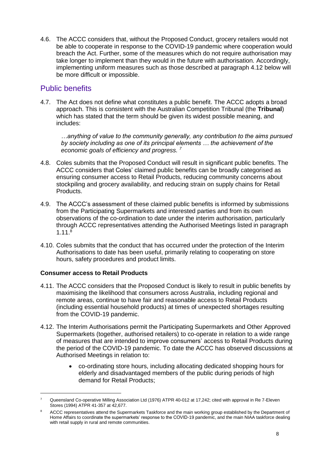4.6. The ACCC considers that, without the Proposed Conduct, grocery retailers would not be able to cooperate in response to the COVID-19 pandemic where cooperation would breach the Act. Further, some of the measures which do not require authorisation may take longer to implement than they would in the future with authorisation. Accordingly, implementing uniform measures such as those described at paragraph 4.12 below will be more difficult or impossible.

## Public benefits

4.7. The Act does not define what constitutes a public benefit. The ACCC adopts a broad approach. This is consistent with the Australian Competition Tribunal (the **Tribunal**) which has stated that the term should be given its widest possible meaning, and includes:

*…anything of value to the community generally, any contribution to the aims pursued by society including as one of its principal elements … the achievement of the economic goals of efficiency and progress. <sup>7</sup>*

- 4.8. Coles submits that the Proposed Conduct will result in significant public benefits. The ACCC considers that Coles' claimed public benefits can be broadly categorised as ensuring consumer access to Retail Products, reducing community concerns about stockpiling and grocery availability, and reducing strain on supply chains for Retail Products.
- 4.9. The ACCC's assessment of these claimed public benefits is informed by submissions from the Participating Supermarkets and interested parties and from its own observations of the co-ordination to date under the interim authorisation, particularly through ACCC representatives attending the Authorised Meetings listed in paragraph 1.11. 8
- 4.10. Coles submits that the conduct that has occurred under the protection of the Interim Authorisations to date has been useful, primarily relating to cooperating on store hours, safety procedures and product limits.

#### **Consumer access to Retail Products**

- 4.11. The ACCC considers that the Proposed Conduct is likely to result in public benefits by maximising the likelihood that consumers across Australia, including regional and remote areas, continue to have fair and reasonable access to Retail Products (including essential household products) at times of unexpected shortages resulting from the COVID-19 pandemic.
- 4.12. The Interim Authorisations permit the Participating Supermarkets and Other Approved Supermarkets (together, authorised retailers) to co-operate in relation to a wide range of measures that are intended to improve consumers' access to Retail Products during the period of the COVID-19 pandemic. To date the ACCC has observed discussions at Authorised Meetings in relation to:
	- co-ordinating store hours, including allocating dedicated shopping hours for elderly and disadvantaged members of the public during periods of high demand for Retail Products;

<sup>7</sup> Queensland Co-operative Milling Association Ltd (1976) ATPR 40-012 at 17,242; cited with approval in Re 7-Eleven Stores (1994) ATPR 41-357 at 42,677.

<sup>8</sup> ACCC representatives attend the Supermarkets Taskforce and the main working group established by the Department of Home Affairs to coordinate the supermarkets' response to the COVID-19 pandemic, and the main NIAA taskforce dealing with retail supply in rural and remote communities.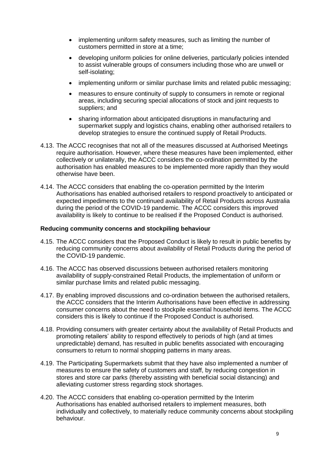- implementing uniform safety measures, such as limiting the number of customers permitted in store at a time;
- developing uniform policies for online deliveries, particularly policies intended to assist vulnerable groups of consumers including those who are unwell or self-isolating;
- implementing uniform or similar purchase limits and related public messaging;
- measures to ensure continuity of supply to consumers in remote or regional areas, including securing special allocations of stock and joint requests to suppliers; and
- sharing information about anticipated disruptions in manufacturing and supermarket supply and logistics chains, enabling other authorised retailers to develop strategies to ensure the continued supply of Retail Products.
- 4.13. The ACCC recognises that not all of the measures discussed at Authorised Meetings require authorisation. However, where these measures have been implemented, either collectively or unilaterally, the ACCC considers the co-ordination permitted by the authorisation has enabled measures to be implemented more rapidly than they would otherwise have been.
- 4.14. The ACCC considers that enabling the co-operation permitted by the Interim Authorisations has enabled authorised retailers to respond proactively to anticipated or expected impediments to the continued availability of Retail Products across Australia during the period of the COVID-19 pandemic. The ACCC considers this improved availability is likely to continue to be realised if the Proposed Conduct is authorised.

#### **Reducing community concerns and stockpiling behaviour**

- 4.15. The ACCC considers that the Proposed Conduct is likely to result in public benefits by reducing community concerns about availability of Retail Products during the period of the COVID-19 pandemic.
- 4.16. The ACCC has observed discussions between authorised retailers monitoring availability of supply-constrained Retail Products, the implementation of uniform or similar purchase limits and related public messaging.
- 4.17. By enabling improved discussions and co-ordination between the authorised retailers, the ACCC considers that the Interim Authorisations have been effective in addressing consumer concerns about the need to stockpile essential household items. The ACCC considers this is likely to continue if the Proposed Conduct is authorised.
- 4.18. Providing consumers with greater certainty about the availability of Retail Products and promoting retailers' ability to respond effectively to periods of high (and at times unpredictable) demand, has resulted in public benefits associated with encouraging consumers to return to normal shopping patterns in many areas.
- 4.19. The Participating Supermarkets submit that they have also implemented a number of measures to ensure the safety of customers and staff, by reducing congestion in stores and store car parks (thereby assisting with beneficial social distancing) and alleviating customer stress regarding stock shortages.
- 4.20. The ACCC considers that enabling co-operation permitted by the Interim Authorisations has enabled authorised retailers to implement measures, both individually and collectively, to materially reduce community concerns about stockpiling behaviour.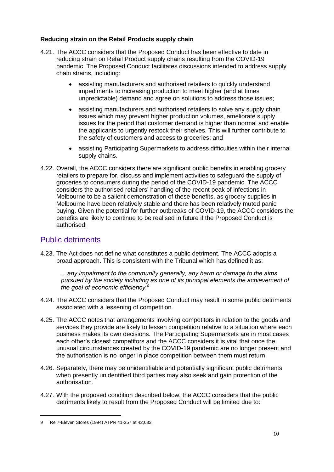#### **Reducing strain on the Retail Products supply chain**

- 4.21. The ACCC considers that the Proposed Conduct has been effective to date in reducing strain on Retail Product supply chains resulting from the COVID-19 pandemic. The Proposed Conduct facilitates discussions intended to address supply chain strains, including:
	- assisting manufacturers and authorised retailers to quickly understand impediments to increasing production to meet higher (and at times unpredictable) demand and agree on solutions to address those issues;
	- assisting manufacturers and authorised retailers to solve any supply chain issues which may prevent higher production volumes, ameliorate supply issues for the period that customer demand is higher than normal and enable the applicants to urgently restock their shelves. This will further contribute to the safety of customers and access to groceries; and
	- assisting Participating Supermarkets to address difficulties within their internal supply chains.
- 4.22. Overall, the ACCC considers there are significant public benefits in enabling grocery retailers to prepare for, discuss and implement activities to safeguard the supply of groceries to consumers during the period of the COVID-19 pandemic. The ACCC considers the authorised retailers' handling of the recent peak of infections in Melbourne to be a salient demonstration of these benefits, as grocery supplies in Melbourne have been relatively stable and there has been relatively muted panic buying. Given the potential for further outbreaks of COVID-19, the ACCC considers the benefits are likely to continue to be realised in future if the Proposed Conduct is authorised.

## Public detriments

4.23. The Act does not define what constitutes a public detriment. The ACCC adopts a broad approach. This is consistent with the Tribunal which has defined it as:

*…any impairment to the community generally, any harm or damage to the aims pursued by the society including as one of its principal elements the achievement of the goal of economic efficiency.<sup>9</sup>*

- 4.24. The ACCC considers that the Proposed Conduct may result in some public detriments associated with a lessening of competition.
- 4.25. The ACCC notes that arrangements involving competitors in relation to the goods and services they provide are likely to lessen competition relative to a situation where each business makes its own decisions. The Participating Supermarkets are in most cases each other's closest competitors and the ACCC considers it is vital that once the unusual circumstances created by the COVID-19 pandemic are no longer present and the authorisation is no longer in place competition between them must return.
- <span id="page-10-0"></span>4.26. Separately, there may be unidentifiable and potentially significant public detriments when presently unidentified third parties may also seek and gain protection of the authorisation.
- 4.27. With the proposed condition described below, the ACCC considers that the public detriments likely to result from the Proposed Conduct will be limited due to:

<sup>9</sup> Re 7-Eleven Stores (1994) ATPR 41-357 at 42,683.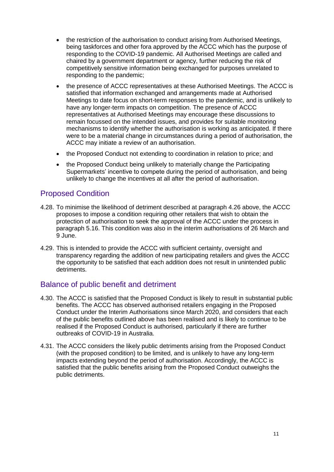- the restriction of the authorisation to conduct arising from Authorised Meetings, being taskforces and other fora approved by the ACCC which has the purpose of responding to the COVID-19 pandemic. All Authorised Meetings are called and chaired by a government department or agency, further reducing the risk of competitively sensitive information being exchanged for purposes unrelated to responding to the pandemic;
- the presence of ACCC representatives at these Authorised Meetings. The ACCC is satisfied that information exchanged and arrangements made at Authorised Meetings to date focus on short-term responses to the pandemic, and is unlikely to have any longer-term impacts on competition. The presence of ACCC representatives at Authorised Meetings may encourage these discussions to remain focussed on the intended issues, and provides for suitable monitoring mechanisms to identify whether the authorisation is working as anticipated. If there were to be a material change in circumstances during a period of authorisation, the ACCC may initiate a review of an authorisation.
- the Proposed Conduct not extending to coordination in relation to price; and
- the Proposed Conduct being unlikely to materially change the Participating Supermarkets' incentive to compete during the period of authorisation, and being unlikely to change the incentives at all after the period of authorisation.

## Proposed Condition

- 4.28. To minimise the likelihood of detriment described at paragraph [4.26](#page-10-0) above, the ACCC proposes to impose a condition requiring other retailers that wish to obtain the protection of authorisation to seek the approval of the ACCC under the process in paragraph 5.16. This condition was also in the interim authorisations of 26 March and 9 June.
- 4.29. This is intended to provide the ACCC with sufficient certainty, oversight and transparency regarding the addition of new participating retailers and gives the ACCC the opportunity to be satisfied that each addition does not result in unintended public detriments.

## Balance of public benefit and detriment

- 4.30. The ACCC is satisfied that the Proposed Conduct is likely to result in substantial public benefits. The ACCC has observed authorised retailers engaging in the Proposed Conduct under the Interim Authorisations since March 2020, and considers that each of the public benefits outlined above has been realised and is likely to continue to be realised if the Proposed Conduct is authorised, particularly if there are further outbreaks of COVID-19 in Australia.
- 4.31. The ACCC considers the likely public detriments arising from the Proposed Conduct (with the proposed condition) to be limited, and is unlikely to have any long-term impacts extending beyond the period of authorisation. Accordingly, the ACCC is satisfied that the public benefits arising from the Proposed Conduct outweighs the public detriments.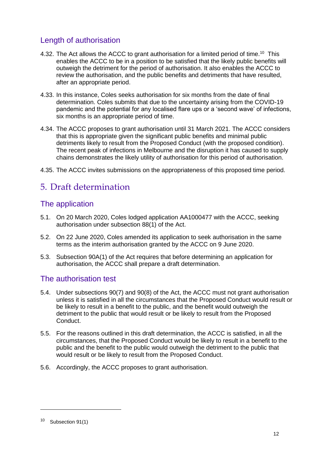## Length of authorisation

- 4.32. The Act allows the ACCC to grant authorisation for a limited period of time.<sup>10</sup> This enables the ACCC to be in a position to be satisfied that the likely public benefits will outweigh the detriment for the period of authorisation. It also enables the ACCC to review the authorisation, and the public benefits and detriments that have resulted, after an appropriate period.
- 4.33. In this instance, Coles seeks authorisation for six months from the date of final determination. Coles submits that due to the uncertainty arising from the COVID-19 pandemic and the potential for any localised flare ups or a 'second wave' of infections, six months is an appropriate period of time.
- 4.34. The ACCC proposes to grant authorisation until 31 March 2021. The ACCC considers that this is appropriate given the significant public benefits and minimal public detriments likely to result from the Proposed Conduct (with the proposed condition). The recent peak of infections in Melbourne and the disruption it has caused to supply chains demonstrates the likely utility of authorisation for this period of authorisation.
- 4.35. The ACCC invites submissions on the appropriateness of this proposed time period.

# 5. Draft determination

## The application

- 5.1. On 20 March 2020, Coles lodged application AA1000477 with the ACCC, seeking authorisation under subsection 88(1) of the Act.
- 5.2. On 22 June 2020, Coles amended its application to seek authorisation in the same terms as the interim authorisation granted by the ACCC on 9 June 2020.
- 5.3. Subsection 90A(1) of the Act requires that before determining an application for authorisation, the ACCC shall prepare a draft determination.

## The authorisation test

- 5.4. Under subsections 90(7) and 90(8) of the Act, the ACCC must not grant authorisation unless it is satisfied in all the circumstances that the Proposed Conduct would result or be likely to result in a benefit to the public, and the benefit would outweigh the detriment to the public that would result or be likely to result from the Proposed Conduct.
- 5.5. For the reasons outlined in this draft determination, the ACCC is satisfied, in all the circumstances, that the Proposed Conduct would be likely to result in a benefit to the public and the benefit to the public would outweigh the detriment to the public that would result or be likely to result from the Proposed Conduct.
- 5.6. Accordingly, the ACCC proposes to grant authorisation.

<sup>10</sup> Subsection 91(1)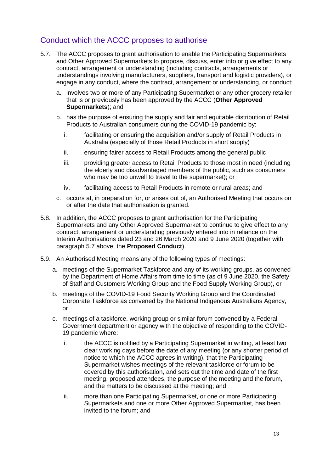## Conduct which the ACCC proposes to authorise

- 5.7. The ACCC proposes to grant authorisation to enable the Participating Supermarkets and Other Approved Supermarkets to propose, discuss, enter into or give effect to any contract, arrangement or understanding (including contracts, arrangements or understandings involving manufacturers, suppliers, transport and logistic providers), or engage in any conduct, where the contract, arrangement or understanding, or conduct:
	- a. involves two or more of any Participating Supermarket or any other grocery retailer that is or previously has been approved by the ACCC (**Other Approved Supermarkets**); and
	- b. has the purpose of ensuring the supply and fair and equitable distribution of Retail Products to Australian consumers during the COVID-19 pandemic by:
		- i. facilitating or ensuring the acquisition and/or supply of Retail Products in Australia (especially of those Retail Products in short supply)
		- ii. ensuring fairer access to Retail Products among the general public
		- iii. providing greater access to Retail Products to those most in need (including the elderly and disadvantaged members of the public, such as consumers who may be too unwell to travel to the supermarket); or
		- iv. facilitating access to Retail Products in remote or rural areas; and
	- c. occurs at, in preparation for, or arises out of, an Authorised Meeting that occurs on or after the date that authorisation is granted.
- 5.8. In addition, the ACCC proposes to grant authorisation for the Participating Supermarkets and any Other Approved Supermarket to continue to give effect to any contract, arrangement or understanding previously entered into in reliance on the Interim Authorisations dated 23 and 26 March 2020 and 9 June 2020 (together with paragraph 5.7 above, the **Proposed Conduct**).
- 5.9. An Authorised Meeting means any of the following types of meetings:
	- a. meetings of the Supermarket Taskforce and any of its working groups, as convened by the Department of Home Affairs from time to time (as of 9 June 2020, the Safety of Staff and Customers Working Group and the Food Supply Working Group), or
	- b. meetings of the COVID-19 Food Security Working Group and the Coordinated Corporate Taskforce as convened by the National Indigenous Australians Agency, or
	- c. meetings of a taskforce, working group or similar forum convened by a Federal Government department or agency with the objective of responding to the COVID-19 pandemic where:
		- i. the ACCC is notified by a Participating Supermarket in writing, at least two clear working days before the date of any meeting (or any shorter period of notice to which the ACCC agrees in writing), that the Participating Supermarket wishes meetings of the relevant taskforce or forum to be covered by this authorisation, and sets out the time and date of the first meeting, proposed attendees, the purpose of the meeting and the forum, and the matters to be discussed at the meeting; and
		- ii. more than one Participating Supermarket, or one or more Participating Supermarkets and one or more Other Approved Supermarket, has been invited to the forum; and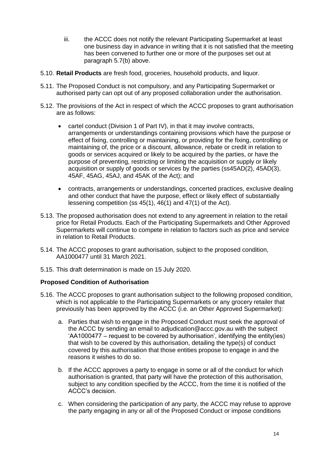- iii. the ACCC does not notify the relevant Participating Supermarket at least one business day in advance in writing that it is not satisfied that the meeting has been convened to further one or more of the purposes set out at paragraph 5.7(b) above.
- 5.10. **Retail Products** are fresh food, groceries, household products, and liquor.
- 5.11. The Proposed Conduct is not compulsory, and any Participating Supermarket or authorised party can opt out of any proposed collaboration under the authorisation.
- 5.12. The provisions of the Act in respect of which the ACCC proposes to grant authorisation are as follows:
	- cartel conduct (Division 1 of Part IV), in that it may involve contracts, arrangements or understandings containing provisions which have the purpose or effect of fixing, controlling or maintaining, or providing for the fixing, controlling or maintaining of, the price or a discount, allowance, rebate or credit in relation to goods or services acquired or likely to be acquired by the parties, or have the purpose of preventing, restricting or limiting the acquisition or supply or likely acquisition or supply of goods or services by the parties (ss45AD(2), 45AD(3), 45AF, 45AG, 45AJ, and 45AK of the Act); and
	- contracts, arrangements or understandings, concerted practices, exclusive dealing and other conduct that have the purpose, effect or likely effect of substantially lessening competition (ss 45(1), 46(1) and 47(1) of the Act).
- 5.13. The proposed authorisation does not extend to any agreement in relation to the retail price for Retail Products. Each of the Participating Supermarkets and Other Approved Supermarkets will continue to compete in relation to factors such as price and service in relation to Retail Products.
- 5.14. The ACCC proposes to grant authorisation, subject to the proposed condition, AA1000477 until 31 March 2021.
- 5.15. This draft determination is made on 15 July 2020.

#### **Proposed Condition of Authorisation**

- 5.16. The ACCC proposes to grant authorisation subject to the following proposed condition, which is not applicable to the Participating Supermarkets or any grocery retailer that previously has been approved by the ACCC (i.e. an Other Approved Supermarket):
	- a. Parties that wish to engage in the Proposed Conduct must seek the approval of the ACCC by sending an email to adjudication@accc.gov.au with the subject 'AA1000477 – request to be covered by authorisation', identifying the entity(ies) that wish to be covered by this authorisation, detailing the type(s) of conduct covered by this authorisation that those entities propose to engage in and the reasons it wishes to do so.
	- b. If the ACCC approves a party to engage in some or all of the conduct for which authorisation is granted, that party will have the protection of this authorisation, subject to any condition specified by the ACCC, from the time it is notified of the ACCC's decision.
	- c. When considering the participation of any party, the ACCC may refuse to approve the party engaging in any or all of the Proposed Conduct or impose conditions